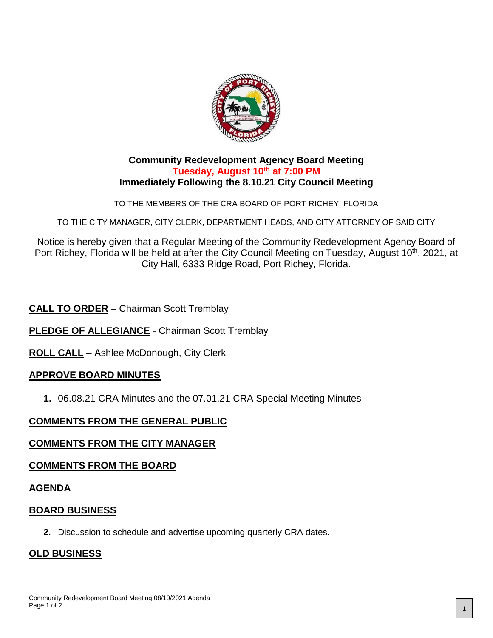

#### **Community Redevelopment Agency Board Meeting Tuesday, August 10th at 7:00 PM Immediately Following the 8.10.21 City Council Meeting**

TO THE MEMBERS OF THE CRA BOARD OF PORT RICHEY, FLORIDA

TO THE CITY MANAGER, CITY CLERK, DEPARTMENT HEADS, AND CITY ATTORNEY OF SAID CITY

Notice is hereby given that a Regular Meeting of the Community Redevelopment Agency Board of Port Richey, Florida will be held at after the City Council Meeting on Tuesday, August 10<sup>th</sup>, 2021, at City Hall, 6333 Ridge Road, Port Richey, Florida.

# **CALL TO ORDER** – Chairman Scott Tremblay

**PLEDGE OF ALLEGIANCE** - Chairman Scott Tremblay

**ROLL CALL** – Ashlee McDonough, City Clerk

# **APPROVE BOARD MINUTES**

**1.** 06.08.21 CRA Minutes and the 07.01.21 CRA Special Meeting Minutes

# **COMMENTS FROM THE GENERAL PUBLIC**

# **COMMENTS FROM THE CITY MANAGER**

#### **COMMENTS FROM THE BOARD**

#### **AGENDA**

#### **BOARD BUSINESS**

**2.** Discussion to schedule and advertise upcoming quarterly CRA dates.

#### **OLD BUSINESS**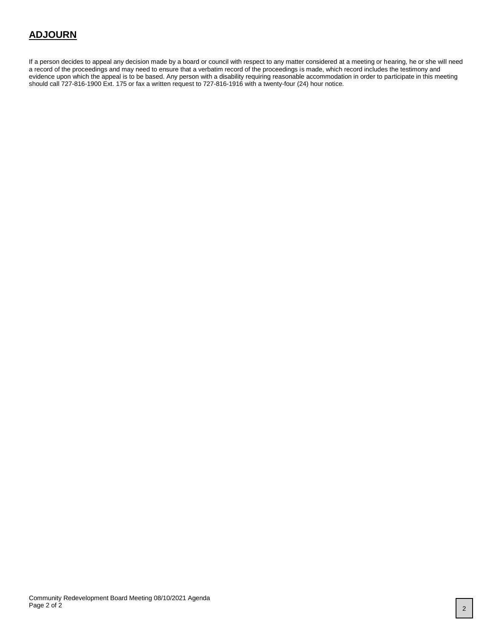# **ADJOURN**

If a person decides to appeal any decision made by a board or council with respect to any matter considered at a meeting or hearing, he or she will need a record of the proceedings and may need to ensure that a verbatim record of the proceedings is made, which record includes the testimony and evidence upon which the appeal is to be based. Any person with a disability requiring reasonable accommodation in order to participate in this meeting should call 727-816-1900 Ext. 175 or fax a written request to 727-816-1916 with a twenty-four (24) hour notice.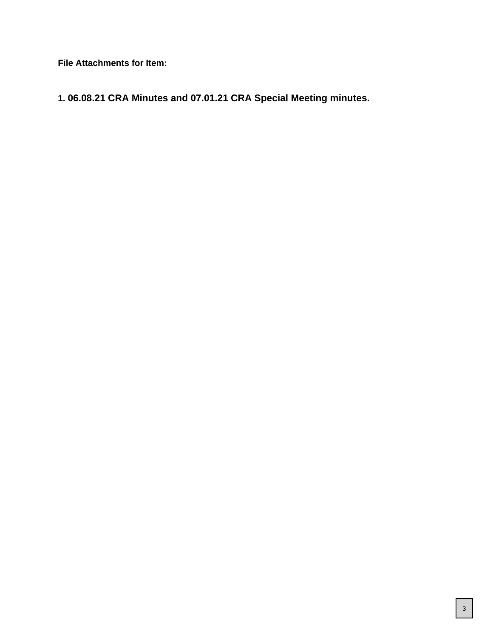**File Attachments for Item:**

**1. 06.08.21 CRA Minutes and 07.01.21 CRA Special Meeting minutes.**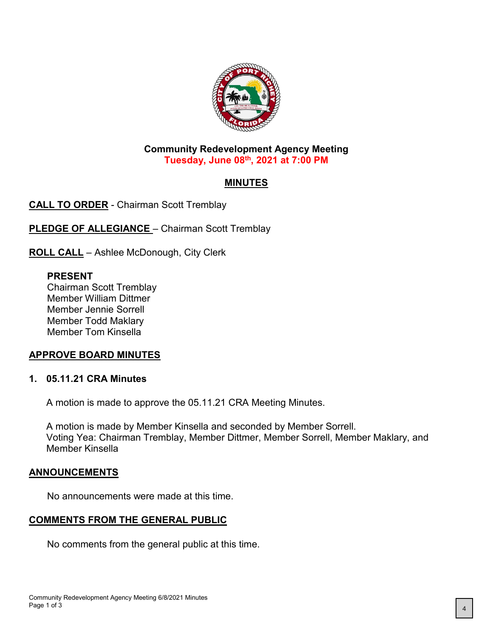

#### **Community Redevelopment Agency Meeting Tuesday, June 08th, 2021 at 7:00 PM**

# **MINUTES**

**CALL TO ORDER** - Chairman Scott Tremblay

**PLEDGE OF ALLEGIANCE** - Chairman Scott Tremblay

**ROLL CALL** – Ashlee McDonough, City Clerk

#### **PRESENT**

Chairman Scott Tremblay Member William Dittmer Member Jennie Sorrell Member Todd Maklary Member Tom Kinsella

# **APPROVE BOARD MINUTES**

# **1. 05.11.21 CRA Minutes**

A motion is made to approve the 05.11.21 CRA Meeting Minutes.

A motion is made by Member Kinsella and seconded by Member Sorrell. Voting Yea: Chairman Tremblay, Member Dittmer, Member Sorrell, Member Maklary, and Member Kinsella

#### **ANNOUNCEMENTS**

No announcements were made at this time.

# **COMMENTS FROM THE GENERAL PUBLIC**

No comments from the general public at this time.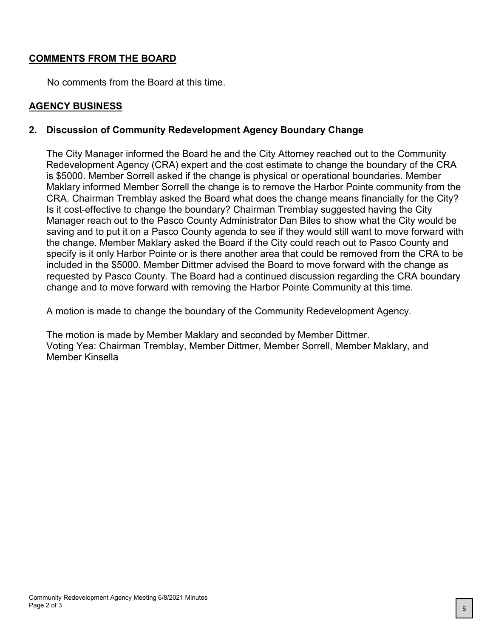# **COMMENTS FROM THE BOARD**

No comments from the Board at this time.

#### **AGENCY BUSINESS**

#### **2. Discussion of Community Redevelopment Agency Boundary Change**

The City Manager informed the Board he and the City Attorney reached out to the Community Redevelopment Agency (CRA) expert and the cost estimate to change the boundary of the CRA is \$5000. Member Sorrell asked if the change is physical or operational boundaries. Member Maklary informed Member Sorrell the change is to remove the Harbor Pointe community from the CRA. Chairman Tremblay asked the Board what does the change means financially for the City? Is it cost-effective to change the boundary? Chairman Tremblay suggested having the City Manager reach out to the Pasco County Administrator Dan Biles to show what the City would be saving and to put it on a Pasco County agenda to see if they would still want to move forward with the change. Member Maklary asked the Board if the City could reach out to Pasco County and specify is it only Harbor Pointe or is there another area that could be removed from the CRA to be included in the \$5000. Member Dittmer advised the Board to move forward with the change as requested by Pasco County. The Board had a continued discussion regarding the CRA boundary change and to move forward with removing the Harbor Pointe Community at this time.

A motion is made to change the boundary of the Community Redevelopment Agency.

The motion is made by Member Maklary and seconded by Member Dittmer. Voting Yea: Chairman Tremblay, Member Dittmer, Member Sorrell, Member Maklary, and Member Kinsella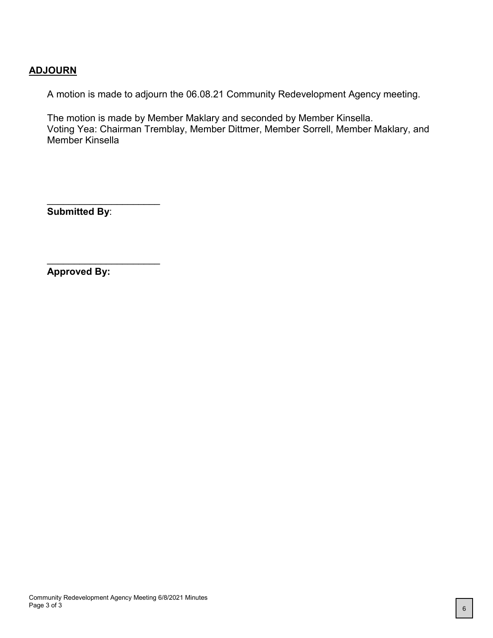#### **ADJOURN**

A motion is made to adjourn the 06.08.21 Community Redevelopment Agency meeting.

The motion is made by Member Maklary and seconded by Member Kinsella. Voting Yea: Chairman Tremblay, Member Dittmer, Member Sorrell, Member Maklary, and Member Kinsella

**Submitted By**:

 $\overline{\phantom{a}}$  , where  $\overline{\phantom{a}}$  , where  $\overline{\phantom{a}}$  , where  $\overline{\phantom{a}}$  ,  $\overline{\phantom{a}}$  ,  $\overline{\phantom{a}}$  ,  $\overline{\phantom{a}}$  ,  $\overline{\phantom{a}}$  ,  $\overline{\phantom{a}}$  ,  $\overline{\phantom{a}}$  ,  $\overline{\phantom{a}}$  ,  $\overline{\phantom{a}}$  ,  $\overline{\phantom{a}}$  ,  $\overline{\phantom{a}}$  ,  $\overline{\phantom$ 

 $\overline{\phantom{a}}$  , where  $\overline{\phantom{a}}$  , where  $\overline{\phantom{a}}$  , where  $\overline{\phantom{a}}$  ,  $\overline{\phantom{a}}$  ,  $\overline{\phantom{a}}$  ,  $\overline{\phantom{a}}$  ,  $\overline{\phantom{a}}$  ,  $\overline{\phantom{a}}$  ,  $\overline{\phantom{a}}$  ,  $\overline{\phantom{a}}$  ,  $\overline{\phantom{a}}$  ,  $\overline{\phantom{a}}$  ,  $\overline{\phantom{a}}$  ,  $\overline{\phantom$ 

**Approved By:**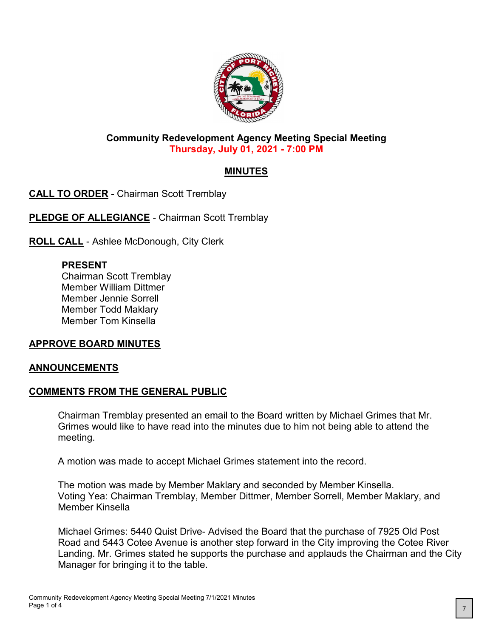

#### **Community Redevelopment Agency Meeting Special Meeting Thursday, July 01, 2021 - 7:00 PM**

# **MINUTES**

**CALL TO ORDER** - Chairman Scott Tremblay

**PLEDGE OF ALLEGIANCE - Chairman Scott Tremblay** 

**ROLL CALL** - Ashlee McDonough, City Clerk

# **PRESENT**

Chairman Scott Tremblay Member William Dittmer Member Jennie Sorrell Member Todd Maklary Member Tom Kinsella

# **APPROVE BOARD MINUTES**

#### **ANNOUNCEMENTS**

# **COMMENTS FROM THE GENERAL PUBLIC**

Chairman Tremblay presented an email to the Board written by Michael Grimes that Mr. Grimes would like to have read into the minutes due to him not being able to attend the meeting.

A motion was made to accept Michael Grimes statement into the record.

The motion was made by Member Maklary and seconded by Member Kinsella. Voting Yea: Chairman Tremblay, Member Dittmer, Member Sorrell, Member Maklary, and Member Kinsella

Michael Grimes: 5440 Quist Drive- Advised the Board that the purchase of 7925 Old Post Road and 5443 Cotee Avenue is another step forward in the City improving the Cotee River Landing. Mr. Grimes stated he supports the purchase and applauds the Chairman and the City Manager for bringing it to the table.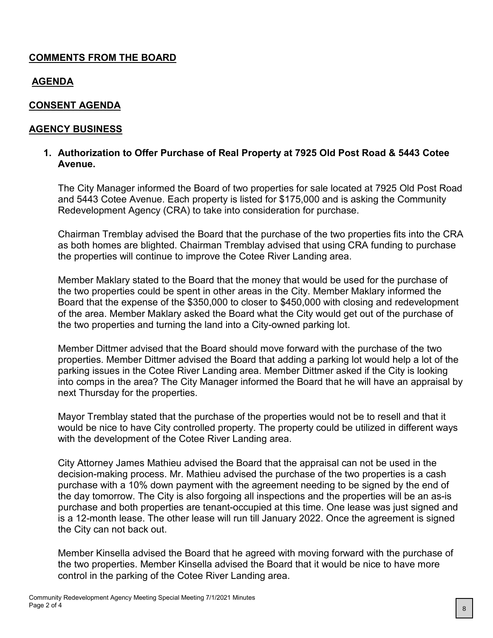# **COMMENTS FROM THE BOARD**

# **AGENDA**

# **CONSENT AGENDA**

#### **AGENCY BUSINESS**

#### **1. Authorization to Offer Purchase of Real Property at 7925 Old Post Road & 5443 Cotee Avenue.**

The City Manager informed the Board of two properties for sale located at 7925 Old Post Road and 5443 Cotee Avenue. Each property is listed for \$175,000 and is asking the Community Redevelopment Agency (CRA) to take into consideration for purchase.

Chairman Tremblay advised the Board that the purchase of the two properties fits into the CRA as both homes are blighted. Chairman Tremblay advised that using CRA funding to purchase the properties will continue to improve the Cotee River Landing area.

Member Maklary stated to the Board that the money that would be used for the purchase of the two properties could be spent in other areas in the City. Member Maklary informed the Board that the expense of the \$350,000 to closer to \$450,000 with closing and redevelopment of the area. Member Maklary asked the Board what the City would get out of the purchase of the two properties and turning the land into a City-owned parking lot.

Member Dittmer advised that the Board should move forward with the purchase of the two properties. Member Dittmer advised the Board that adding a parking lot would help a lot of the parking issues in the Cotee River Landing area. Member Dittmer asked if the City is looking into comps in the area? The City Manager informed the Board that he will have an appraisal by next Thursday for the properties.

Mayor Tremblay stated that the purchase of the properties would not be to resell and that it would be nice to have City controlled property. The property could be utilized in different ways with the development of the Cotee River Landing area.

City Attorney James Mathieu advised the Board that the appraisal can not be used in the decision-making process. Mr. Mathieu advised the purchase of the two properties is a cash purchase with a 10% down payment with the agreement needing to be signed by the end of the day tomorrow. The City is also forgoing all inspections and the properties will be an as-is purchase and both properties are tenant-occupied at this time. One lease was just signed and is a 12-month lease. The other lease will run till January 2022. Once the agreement is signed the City can not back out.

Member Kinsella advised the Board that he agreed with moving forward with the purchase of the two properties. Member Kinsella advised the Board that it would be nice to have more control in the parking of the Cotee River Landing area.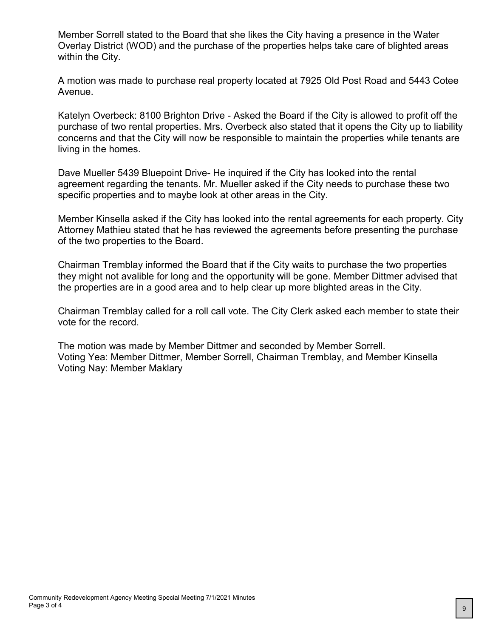Member Sorrell stated to the Board that she likes the City having a presence in the Water Overlay District (WOD) and the purchase of the properties helps take care of blighted areas within the City.

A motion was made to purchase real property located at 7925 Old Post Road and 5443 Cotee Avenue.

Katelyn Overbeck: 8100 Brighton Drive - Asked the Board if the City is allowed to profit off the purchase of two rental properties. Mrs. Overbeck also stated that it opens the City up to liability concerns and that the City will now be responsible to maintain the properties while tenants are living in the homes.

Dave Mueller 5439 Bluepoint Drive- He inquired if the City has looked into the rental agreement regarding the tenants. Mr. Mueller asked if the City needs to purchase these two specific properties and to maybe look at other areas in the City.

Member Kinsella asked if the City has looked into the rental agreements for each property. City Attorney Mathieu stated that he has reviewed the agreements before presenting the purchase of the two properties to the Board.

Chairman Tremblay informed the Board that if the City waits to purchase the two properties they might not avalible for long and the opportunity will be gone. Member Dittmer advised that the properties are in a good area and to help clear up more blighted areas in the City.

Chairman Tremblay called for a roll call vote. The City Clerk asked each member to state their vote for the record.

The motion was made by Member Dittmer and seconded by Member Sorrell. Voting Yea: Member Dittmer, Member Sorrell, Chairman Tremblay, and Member Kinsella Voting Nay: Member Maklary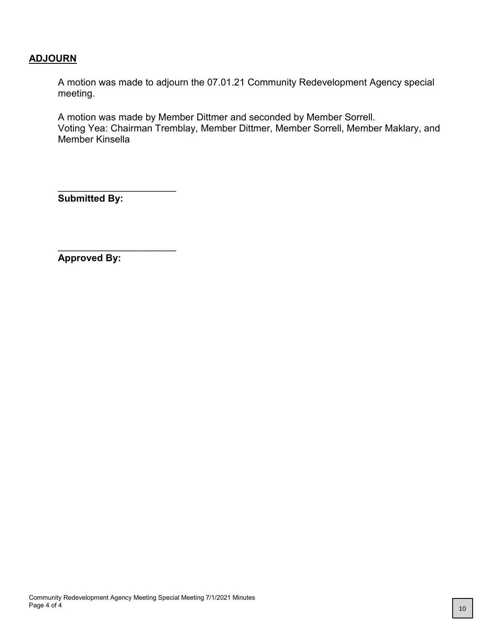#### **ADJOURN**

A motion was made to adjourn the 07.01.21 Community Redevelopment Agency special meeting.

A motion was made by Member Dittmer and seconded by Member Sorrell. Voting Yea: Chairman Tremblay, Member Dittmer, Member Sorrell, Member Maklary, and Member Kinsella

**Submitted By:**

\_\_\_\_\_\_\_\_\_\_\_\_\_\_\_\_\_\_\_\_\_\_

\_\_\_\_\_\_\_\_\_\_\_\_\_\_\_\_\_\_\_\_\_\_

**Approved By:**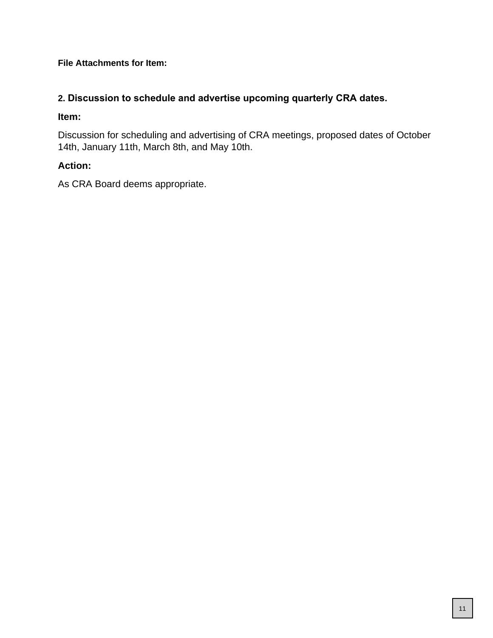#### **File Attachments for Item:**

# **2. Discussion to schedule and advertise upcoming quarterly CRA dates.**

#### **Item:**

Discussion for scheduling and advertising of CRA meetings, proposed dates of October 14th, January 11th, March 8th, and May 10th.

# **Action:**

As CRA Board deems appropriate.